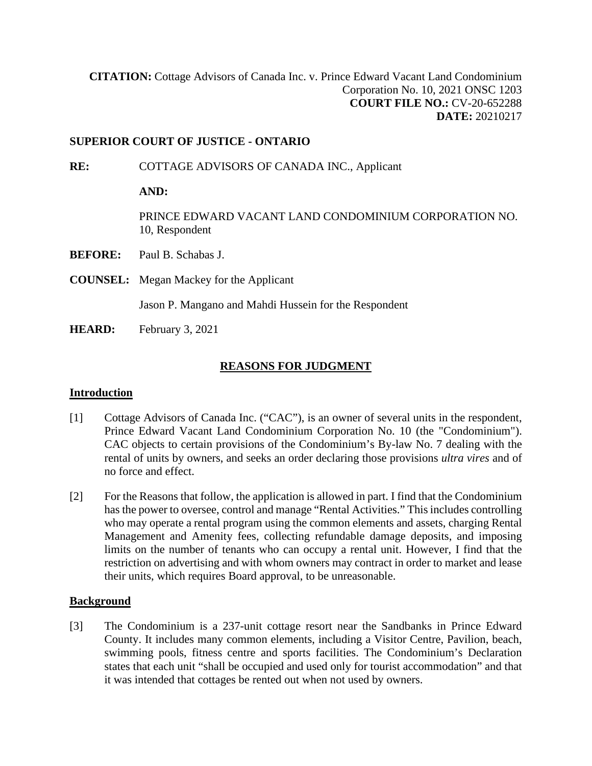**[CITATION:](http://intra.judicialsecurity.jus.gov.on.ca/NeutralCitation/)** Cottage Advisors of Canada Inc. v. Prince Edward Vacant Land Condominium Corporation No. 10, 2021 ONSC 1203 **COURT FILE NO.:** CV-20-652288 **DATE:** 20210217

### **SUPERIOR COURT OF JUSTICE - ONTARIO**

**RE:** COTTAGE ADVISORS OF CANADA INC., Applicant

**AND:**

PRINCE EDWARD VACANT LAND CONDOMINIUM CORPORATION NO. 10, Respondent

- **BEFORE:** Paul B. Schabas J.
- **COUNSEL:** Megan Mackey for the Applicant

Jason P. Mangano and Mahdi Hussein for the Respondent

**HEARD:** February 3, 2021

### **REASONS FOR JUDGMENT**

### **Introduction**

- [1] Cottage Advisors of Canada Inc. ("CAC"), is an owner of several units in the respondent, Prince Edward Vacant Land Condominium Corporation No. 10 (the "Condominium"). CAC objects to certain provisions of the Condominium's By-law No. 7 dealing with the rental of units by owners, and seeks an order declaring those provisions *ultra vires* and of no force and effect.
- [2] For the Reasons that follow, the application is allowed in part. I find that the Condominium has the power to oversee, control and manage "Rental Activities." This includes controlling who may operate a rental program using the common elements and assets, charging Rental Management and Amenity fees, collecting refundable damage deposits, and imposing limits on the number of tenants who can occupy a rental unit. However, I find that the restriction on advertising and with whom owners may contract in order to market and lease their units, which requires Board approval, to be unreasonable.

### **Background**

[3] The Condominium is a 237-unit cottage resort near the Sandbanks in Prince Edward County. It includes many common elements, including a Visitor Centre, Pavilion, beach, swimming pools, fitness centre and sports facilities. The Condominium's Declaration states that each unit "shall be occupied and used only for tourist accommodation" and that it was intended that cottages be rented out when not used by owners.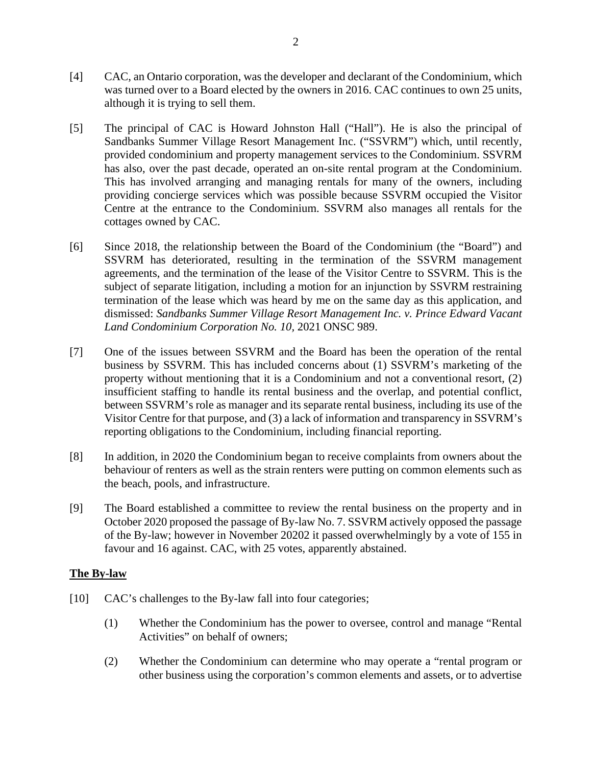- [4] CAC, an Ontario corporation, was the developer and declarant of the Condominium, which was turned over to a Board elected by the owners in 2016. CAC continues to own 25 units, although it is trying to sell them.
- [5] The principal of CAC is Howard Johnston Hall ("Hall"). He is also the principal of Sandbanks Summer Village Resort Management Inc. ("SSVRM") which, until recently, provided condominium and property management services to the Condominium. SSVRM has also, over the past decade, operated an on-site rental program at the Condominium. This has involved arranging and managing rentals for many of the owners, including providing concierge services which was possible because SSVRM occupied the Visitor Centre at the entrance to the Condominium. SSVRM also manages all rentals for the cottages owned by CAC.
- [6] Since 2018, the relationship between the Board of the Condominium (the "Board") and SSVRM has deteriorated, resulting in the termination of the SSVRM management agreements, and the termination of the lease of the Visitor Centre to SSVRM. This is the subject of separate litigation, including a motion for an injunction by SSVRM restraining termination of the lease which was heard by me on the same day as this application, and dismissed: *Sandbanks Summer Village Resort Management Inc. v. Prince Edward Vacant Land Condominium Corporation No. 10,* 2021 ONSC 989.
- [7] One of the issues between SSVRM and the Board has been the operation of the rental business by SSVRM. This has included concerns about (1) SSVRM's marketing of the property without mentioning that it is a Condominium and not a conventional resort, (2) insufficient staffing to handle its rental business and the overlap, and potential conflict, between SSVRM's role as manager and its separate rental business, including its use of the Visitor Centre for that purpose, and (3) a lack of information and transparency in SSVRM's reporting obligations to the Condominium, including financial reporting.
- [8] In addition, in 2020 the Condominium began to receive complaints from owners about the behaviour of renters as well as the strain renters were putting on common elements such as the beach, pools, and infrastructure.
- [9] The Board established a committee to review the rental business on the property and in October 2020 proposed the passage of By-law No. 7. SSVRM actively opposed the passage of the By-law; however in November 20202 it passed overwhelmingly by a vote of 155 in favour and 16 against. CAC, with 25 votes, apparently abstained.

### **The By-law**

- [10] CAC's challenges to the By-law fall into four categories;
	- (1) Whether the Condominium has the power to oversee, control and manage "Rental Activities" on behalf of owners;
	- (2) Whether the Condominium can determine who may operate a "rental program or other business using the corporation's common elements and assets, or to advertise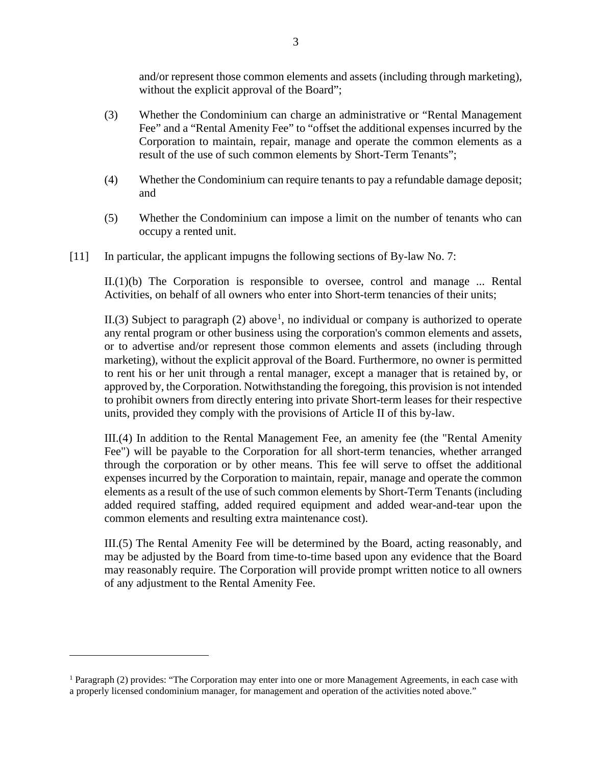and/or represent those common elements and assets (including through marketing), without the explicit approval of the Board";

- (3) Whether the Condominium can charge an administrative or "Rental Management Fee" and a "Rental Amenity Fee" to "offset the additional expenses incurred by the Corporation to maintain, repair, manage and operate the common elements as a result of the use of such common elements by Short-Term Tenants";
- (4) Whether the Condominium can require tenants to pay a refundable damage deposit; and
- (5) Whether the Condominium can impose a limit on the number of tenants who can occupy a rented unit.
- [11] In particular, the applicant impugns the following sections of By-law No. 7:

II.(1)(b) The Corporation is responsible to oversee, control and manage ... Rental Activities, on behalf of all owners who enter into Short-term tenancies of their units;

II.(3) Subject to paragraph (2) above<sup>[1](#page-2-0)</sup>, no individual or company is authorized to operate any rental program or other business using the corporation's common elements and assets, or to advertise and/or represent those common elements and assets (including through marketing), without the explicit approval of the Board. Furthermore, no owner is permitted to rent his or her unit through a rental manager, except a manager that is retained by, or approved by, the Corporation. Notwithstanding the foregoing, this provision is not intended to prohibit owners from directly entering into private Short-term leases for their respective units, provided they comply with the provisions of Article II of this by-law.

III.(4) In addition to the Rental Management Fee, an amenity fee (the "Rental Amenity Fee") will be payable to the Corporation for all short-term tenancies, whether arranged through the corporation or by other means. This fee will serve to offset the additional expenses incurred by the Corporation to maintain, repair, manage and operate the common elements as a result of the use of such common elements by Short-Term Tenants (including added required staffing, added required equipment and added wear-and-tear upon the common elements and resulting extra maintenance cost).

III.(5) The Rental Amenity Fee will be determined by the Board, acting reasonably, and may be adjusted by the Board from time-to-time based upon any evidence that the Board may reasonably require. The Corporation will provide prompt written notice to all owners of any adjustment to the Rental Amenity Fee.

<span id="page-2-0"></span><sup>1</sup> Paragraph (2) provides: "The Corporation may enter into one or more Management Agreements, in each case with a properly licensed condominium manager, for management and operation of the activities noted above."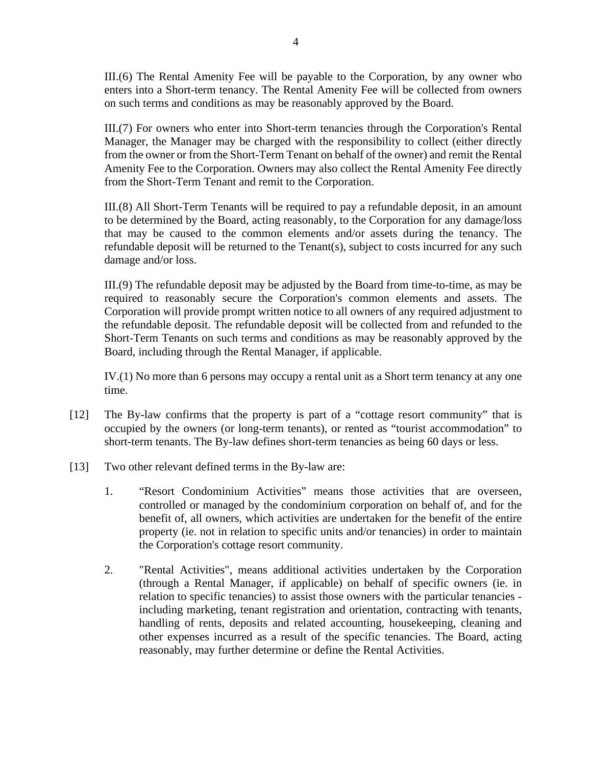III.(6) The Rental Amenity Fee will be payable to the Corporation, by any owner who enters into a Short-term tenancy. The Rental Amenity Fee will be collected from owners on such terms and conditions as may be reasonably approved by the Board.

III.(7) For owners who enter into Short-term tenancies through the Corporation's Rental Manager, the Manager may be charged with the responsibility to collect (either directly from the owner or from the Short-Term Tenant on behalf of the owner) and remit the Rental Amenity Fee to the Corporation. Owners may also collect the Rental Amenity Fee directly from the Short-Term Tenant and remit to the Corporation.

III.(8) All Short-Term Tenants will be required to pay a refundable deposit, in an amount to be determined by the Board, acting reasonably, to the Corporation for any damage/loss that may be caused to the common elements and/or assets during the tenancy. The refundable deposit will be returned to the Tenant(s), subject to costs incurred for any such damage and/or loss.

III.(9) The refundable deposit may be adjusted by the Board from time-to-time, as may be required to reasonably secure the Corporation's common elements and assets. The Corporation will provide prompt written notice to all owners of any required adjustment to the refundable deposit. The refundable deposit will be collected from and refunded to the Short-Term Tenants on such terms and conditions as may be reasonably approved by the Board, including through the Rental Manager, if applicable.

IV.(1) No more than 6 persons may occupy a rental unit as a Short term tenancy at any one time.

- [12] The By-law confirms that the property is part of a "cottage resort community" that is occupied by the owners (or long-term tenants), or rented as "tourist accommodation" to short-term tenants. The By-law defines short-term tenancies as being 60 days or less.
- [13] Two other relevant defined terms in the By-law are:
	- 1. "Resort Condominium Activities" means those activities that are overseen, controlled or managed by the condominium corporation on behalf of, and for the benefit of, all owners, which activities are undertaken for the benefit of the entire property (ie. not in relation to specific units and/or tenancies) in order to maintain the Corporation's cottage resort community.
	- 2. "Rental Activities", means additional activities undertaken by the Corporation (through a Rental Manager, if applicable) on behalf of specific owners (ie. in relation to specific tenancies) to assist those owners with the particular tenancies including marketing, tenant registration and orientation, contracting with tenants, handling of rents, deposits and related accounting, housekeeping, cleaning and other expenses incurred as a result of the specific tenancies. The Board, acting reasonably, may further determine or define the Rental Activities.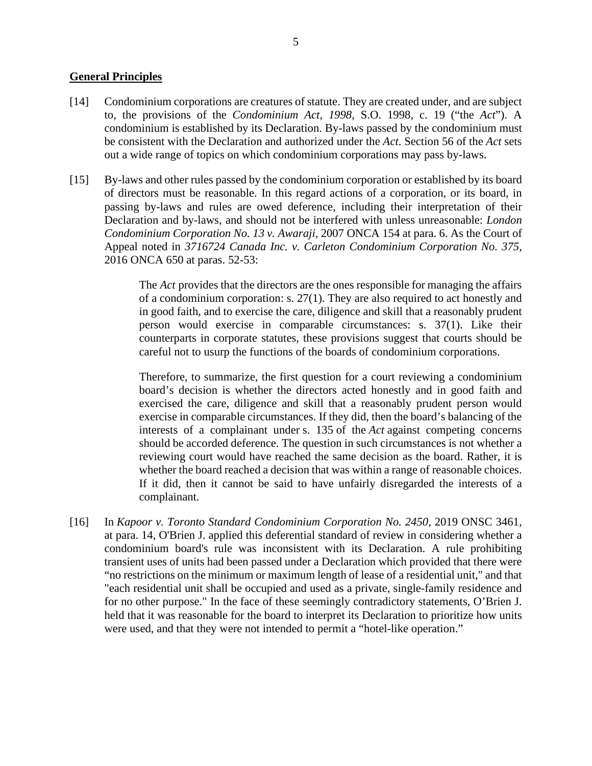### **General Principles**

- [14] Condominium corporations are creatures of statute. They are created under, and are subject to, the provisions of the *Condominium Act, 1998,* S.O. 1998, c. 19 ("the *Act*"). A condominium is established by its Declaration. By-laws passed by the condominium must be consistent with the Declaration and authorized under the *Act*. Section 56 of the *Act* sets out a wide range of topics on which condominium corporations may pass by-laws.
- [15] By-laws and other rules passed by the condominium corporation or established by its board of directors must be reasonable. In this regard actions of a corporation, or its board, in passing by-laws and rules are owed deference, including their interpretation of their Declaration and by-laws, and should not be interfered with unless unreasonable: *London Condominium Corporation No. 13 v. Awaraji*, 2007 ONCA 154 at para. 6. As the Court of Appeal noted in *3716724 Canada Inc. v. Carleton Condominium Corporation No. 375*, 2016 ONCA 650 at paras. 52-53:

The *Act* provides that the directors are the ones responsible for managing the affairs of a condominium corporation: s. 27(1). They are also required to act honestly and in good faith, and to exercise the care, diligence and skill that a reasonably prudent person would exercise in comparable circumstances: s. 37(1). Like their counterparts in corporate statutes, these provisions suggest that courts should be careful not to usurp the functions of the boards of condominium corporations.

Therefore, to summarize, the first question for a court reviewing a condominium board's decision is whether the directors acted honestly and in good faith and exercised the care, diligence and skill that a reasonably prudent person would exercise in comparable circumstances. If they did, then the board's balancing of the interests of a complainant under s. 135 of the *Act* against competing concerns should be accorded deference. The question in such circumstances is not whether a reviewing court would have reached the same decision as the board. Rather, it is whether the board reached a decision that was within a range of reasonable choices. If it did, then it cannot be said to have unfairly disregarded the interests of a complainant.

[16] In *Kapoor v. Toronto Standard Condominium Corporation No. 2450*, 2019 ONSC 3461, at para. 14, O'Brien J. applied this deferential standard of review in considering whether a condominium board's rule was inconsistent with its Declaration. A rule prohibiting transient uses of units had been passed under a Declaration which provided that there were "no restrictions on the minimum or maximum length of lease of a residential unit," and that "each residential unit shall be occupied and used as a private, single-family residence and for no other purpose." In the face of these seemingly contradictory statements, O'Brien J. held that it was reasonable for the board to interpret its Declaration to prioritize how units were used, and that they were not intended to permit a "hotel-like operation."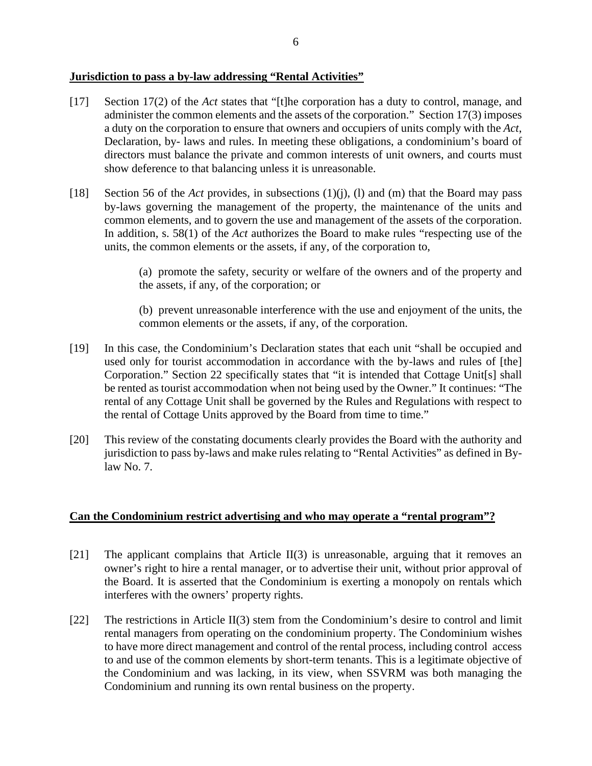### **Jurisdiction to pass a by-law addressing "Rental Activities"**

- [17] Section 17(2) of the *Act* states that "[t]he corporation has a duty to control, manage, and administer the common elements and the assets of the corporation." Section 17(3) imposes a duty on the corporation to ensure that owners and occupiers of units comply with the *Act*, Declaration, by- laws and rules. In meeting these obligations, a condominium's board of directors must balance the private and common interests of unit owners, and courts must show deference to that balancing unless it is unreasonable.
- [18] Section 56 of the *Act* provides, in subsections (1)(j), (l) and (m) that the Board may pass by-laws governing the management of the property, the maintenance of the units and common elements, and to govern the use and management of the assets of the corporation. In addition, s. 58(1) of the *Act* authorizes the Board to make rules "respecting use of the units, the common elements or the assets, if any, of the corporation to,

(a) promote the safety, security or welfare of the owners and of the property and the assets, if any, of the corporation; or

(b) prevent unreasonable interference with the use and enjoyment of the units, the common elements or the assets, if any, of the corporation.

- [19] In this case, the Condominium's Declaration states that each unit "shall be occupied and used only for tourist accommodation in accordance with the by-laws and rules of [the] Corporation." Section 22 specifically states that "it is intended that Cottage Unit[s] shall be rented as tourist accommodation when not being used by the Owner." It continues: "The rental of any Cottage Unit shall be governed by the Rules and Regulations with respect to the rental of Cottage Units approved by the Board from time to time."
- [20] This review of the constating documents clearly provides the Board with the authority and jurisdiction to pass by-laws and make rules relating to "Rental Activities" as defined in Bylaw No. 7.

### **Can the Condominium restrict advertising and who may operate a "rental program"?**

- [21] The applicant complains that Article II(3) is unreasonable, arguing that it removes an owner's right to hire a rental manager, or to advertise their unit, without prior approval of the Board. It is asserted that the Condominium is exerting a monopoly on rentals which interferes with the owners' property rights.
- [22] The restrictions in Article II(3) stem from the Condominium's desire to control and limit rental managers from operating on the condominium property. The Condominium wishes to have more direct management and control of the rental process, including control access to and use of the common elements by short-term tenants. This is a legitimate objective of the Condominium and was lacking, in its view, when SSVRM was both managing the Condominium and running its own rental business on the property.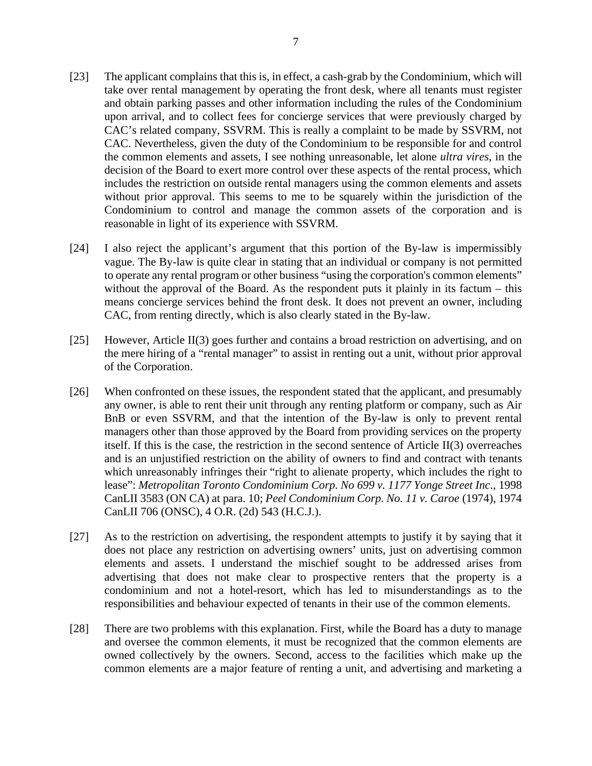- [23] The applicant complains that this is, in effect, a cash-grab by the Condominium, which will take over rental management by operating the front desk, where all tenants must register and obtain parking passes and other information including the rules of the Condominium upon arrival, and to collect fees for concierge services that were previously charged by CAC's related company, SSVRM. This is really a complaint to be made by SSVRM, not CAC. Nevertheless, given the duty of the Condominium to be responsible for and control the common elements and assets, I see nothing unreasonable, let alone *ultra vires*, in the decision of the Board to exert more control over these aspects of the rental process, which includes the restriction on outside rental managers using the common elements and assets without prior approval. This seems to me to be squarely within the jurisdiction of the Condominium to control and manage the common assets of the corporation and is reasonable in light of its experience with SSVRM.
- [24] I also reject the applicant's argument that this portion of the By-law is impermissibly vague. The By-law is quite clear in stating that an individual or company is not permitted to operate any rental program or other business "using the corporation's common elements" without the approval of the Board. As the respondent puts it plainly in its factum – this means concierge services behind the front desk. It does not prevent an owner, including CAC, from renting directly, which is also clearly stated in the By-law.
- [25] However, Article II(3) goes further and contains a broad restriction on advertising, and on the mere hiring of a "rental manager" to assist in renting out a unit, without prior approval of the Corporation.
- [26] When confronted on these issues, the respondent stated that the applicant, and presumably any owner, is able to rent their unit through any renting platform or company, such as Air BnB or even SSVRM, and that the intention of the By-law is only to prevent rental managers other than those approved by the Board from providing services on the property itself. If this is the case, the restriction in the second sentence of Article II(3) overreaches and is an unjustified restriction on the ability of owners to find and contract with tenants which unreasonably infringes their "right to alienate property, which includes the right to lease": *Metropolitan Toronto Condominium Corp. No 699 v. 1177 Yonge Street Inc*., 1998 CanLII 3583 (ON CA) at para. 10; *Peel Condominium Corp. No. 11 v. Caroe* (1974), 1974 CanLII 706 (ONSC), 4 O.R. (2d) 543 (H.C.J.).
- [27] As to the restriction on advertising, the respondent attempts to justify it by saying that it does not place any restriction on advertising owners' units, just on advertising common elements and assets. I understand the mischief sought to be addressed arises from advertising that does not make clear to prospective renters that the property is a condominium and not a hotel-resort, which has led to misunderstandings as to the responsibilities and behaviour expected of tenants in their use of the common elements.
- [28] There are two problems with this explanation. First, while the Board has a duty to manage and oversee the common elements, it must be recognized that the common elements are owned collectively by the owners. Second, access to the facilities which make up the common elements are a major feature of renting a unit, and advertising and marketing a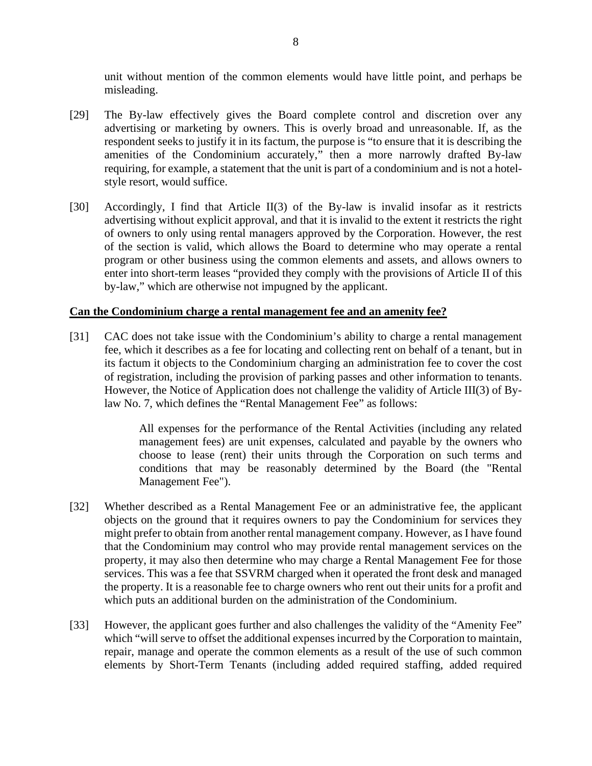unit without mention of the common elements would have little point, and perhaps be misleading.

- [29] The By-law effectively gives the Board complete control and discretion over any advertising or marketing by owners. This is overly broad and unreasonable. If, as the respondent seeks to justify it in its factum, the purpose is "to ensure that it is describing the amenities of the Condominium accurately," then a more narrowly drafted By-law requiring, for example, a statement that the unit is part of a condominium and is not a hotelstyle resort, would suffice.
- [30] Accordingly, I find that Article II(3) of the By-law is invalid insofar as it restricts advertising without explicit approval, and that it is invalid to the extent it restricts the right of owners to only using rental managers approved by the Corporation. However, the rest of the section is valid, which allows the Board to determine who may operate a rental program or other business using the common elements and assets, and allows owners to enter into short-term leases "provided they comply with the provisions of Article II of this by-law," which are otherwise not impugned by the applicant.

#### **Can the Condominium charge a rental management fee and an amenity fee?**

[31] CAC does not take issue with the Condominium's ability to charge a rental management fee, which it describes as a fee for locating and collecting rent on behalf of a tenant, but in its factum it objects to the Condominium charging an administration fee to cover the cost of registration, including the provision of parking passes and other information to tenants. However, the Notice of Application does not challenge the validity of Article III(3) of Bylaw No. 7, which defines the "Rental Management Fee" as follows:

> All expenses for the performance of the Rental Activities (including any related management fees) are unit expenses, calculated and payable by the owners who choose to lease (rent) their units through the Corporation on such terms and conditions that may be reasonably determined by the Board (the "Rental Management Fee").

- [32] Whether described as a Rental Management Fee or an administrative fee, the applicant objects on the ground that it requires owners to pay the Condominium for services they might prefer to obtain from another rental management company. However, as I have found that the Condominium may control who may provide rental management services on the property, it may also then determine who may charge a Rental Management Fee for those services. This was a fee that SSVRM charged when it operated the front desk and managed the property. It is a reasonable fee to charge owners who rent out their units for a profit and which puts an additional burden on the administration of the Condominium.
- [33] However, the applicant goes further and also challenges the validity of the "Amenity Fee" which "will serve to offset the additional expenses incurred by the Corporation to maintain, repair, manage and operate the common elements as a result of the use of such common elements by Short-Term Tenants (including added required staffing, added required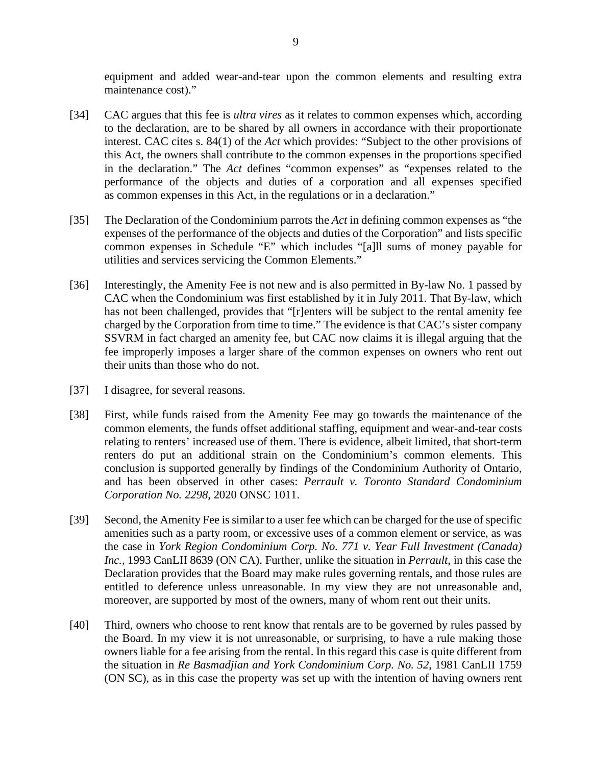equipment and added wear-and-tear upon the common elements and resulting extra maintenance cost)."

- [34] CAC argues that this fee is *ultra vires* as it relates to common expenses which, according to the declaration, are to be shared by all owners in accordance with their proportionate interest. CAC cites s. 84(1) of the *Act* which provides: "Subject to the other provisions of this Act, the owners shall contribute to the common expenses in the proportions specified in the declaration." The *Act* defines "common expenses" as "expenses related to the performance of the objects and duties of a corporation and all expenses specified as common expenses in this Act, in the regulations or in a declaration."
- [35] The Declaration of the Condominium parrots the *Act* in defining common expenses as "the expenses of the performance of the objects and duties of the Corporation" and lists specific common expenses in Schedule "E" which includes "[a]ll sums of money payable for utilities and services servicing the Common Elements."
- [36] Interestingly, the Amenity Fee is not new and is also permitted in By-law No. 1 passed by CAC when the Condominium was first established by it in July 2011. That By-law, which has not been challenged, provides that "[r]enters will be subject to the rental amenity fee charged by the Corporation from time to time." The evidence is that CAC's sister company SSVRM in fact charged an amenity fee, but CAC now claims it is illegal arguing that the fee improperly imposes a larger share of the common expenses on owners who rent out their units than those who do not.
- [37] I disagree, for several reasons.
- [38] First, while funds raised from the Amenity Fee may go towards the maintenance of the common elements, the funds offset additional staffing, equipment and wear-and-tear costs relating to renters' increased use of them. There is evidence, albeit limited, that short-term renters do put an additional strain on the Condominium's common elements. This conclusion is supported generally by findings of the Condominium Authority of Ontario, and has been observed in other cases: *Perrault v. Toronto Standard Condominium Corporation No. 2298*, 2020 ONSC 1011.
- [39] Second, the Amenity Fee is similar to a user fee which can be charged for the use of specific amenities such as a party room, or excessive uses of a common element or service, as was the case in *York Region Condominium Corp. No. 771 v. Year Full Investment (Canada) Inc.*, 1993 CanLII 8639 (ON CA). Further, unlike the situation in *Perrault*, in this case the Declaration provides that the Board may make rules governing rentals, and those rules are entitled to deference unless unreasonable. In my view they are not unreasonable and, moreover, are supported by most of the owners, many of whom rent out their units.
- [40] Third, owners who choose to rent know that rentals are to be governed by rules passed by the Board. In my view it is not unreasonable, or surprising, to have a rule making those owners liable for a fee arising from the rental. In this regard this case is quite different from the situation in *Re Basmadjian and York Condominium Corp. No. 52*, 1981 CanLII 1759 (ON SC), as in this case the property was set up with the intention of having owners rent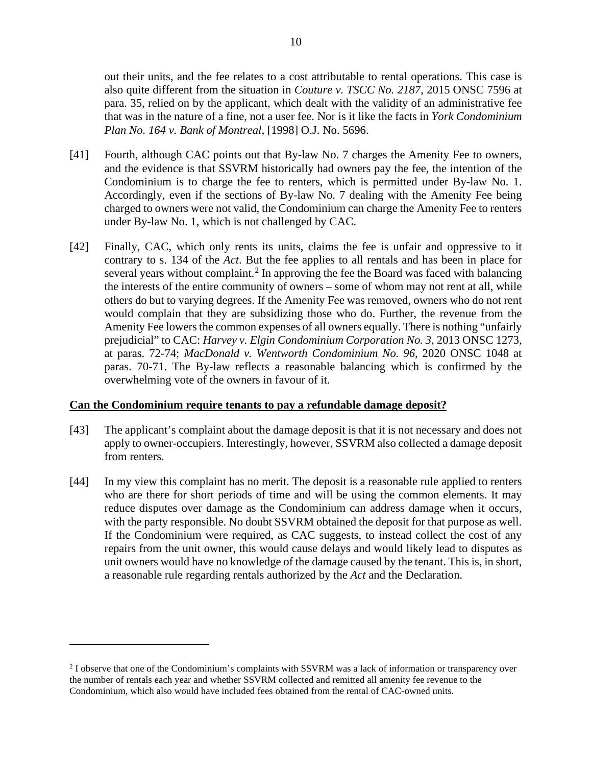out their units, and the fee relates to a cost attributable to rental operations. This case is also quite different from the situation in *Couture v. TSCC No. 2187*, 2015 ONSC 7596 at para. 35, relied on by the applicant, which dealt with the validity of an administrative fee that was in the nature of a fine, not a user fee. Nor is it like the facts in *York Condominium Plan No. 164 v. Bank of Montreal*, [1998] O.J. No. 5696.

- [41] Fourth, although CAC points out that By-law No. 7 charges the Amenity Fee to owners, and the evidence is that SSVRM historically had owners pay the fee, the intention of the Condominium is to charge the fee to renters, which is permitted under By-law No. 1. Accordingly, even if the sections of By-law No. 7 dealing with the Amenity Fee being charged to owners were not valid, the Condominium can charge the Amenity Fee to renters under By-law No. 1, which is not challenged by CAC.
- [42] Finally, CAC, which only rents its units, claims the fee is unfair and oppressive to it contrary to s. 134 of the *Act*. But the fee applies to all rentals and has been in place for several years without complaint.<sup>[2](#page-9-0)</sup> In approving the fee the Board was faced with balancing the interests of the entire community of owners – some of whom may not rent at all, while others do but to varying degrees. If the Amenity Fee was removed, owners who do not rent would complain that they are subsidizing those who do. Further, the revenue from the Amenity Fee lowers the common expenses of all owners equally. There is nothing "unfairly prejudicial" to CAC: *Harvey v. Elgin Condominium Corporation No. 3*, 2013 ONSC 1273, at paras. 72-74; *MacDonald v. Wentworth Condominium No. 96*, 2020 ONSC 1048 at paras. 70-71. The By-law reflects a reasonable balancing which is confirmed by the overwhelming vote of the owners in favour of it.

#### **Can the Condominium require tenants to pay a refundable damage deposit?**

- [43] The applicant's complaint about the damage deposit is that it is not necessary and does not apply to owner-occupiers. Interestingly, however, SSVRM also collected a damage deposit from renters.
- [44] In my view this complaint has no merit. The deposit is a reasonable rule applied to renters who are there for short periods of time and will be using the common elements. It may reduce disputes over damage as the Condominium can address damage when it occurs, with the party responsible. No doubt SSVRM obtained the deposit for that purpose as well. If the Condominium were required, as CAC suggests, to instead collect the cost of any repairs from the unit owner, this would cause delays and would likely lead to disputes as unit owners would have no knowledge of the damage caused by the tenant. This is, in short, a reasonable rule regarding rentals authorized by the *Act* and the Declaration.

<span id="page-9-0"></span><sup>&</sup>lt;sup>2</sup> I observe that one of the Condominium's complaints with SSVRM was a lack of information or transparency over the number of rentals each year and whether SSVRM collected and remitted all amenity fee revenue to the Condominium, which also would have included fees obtained from the rental of CAC-owned units.